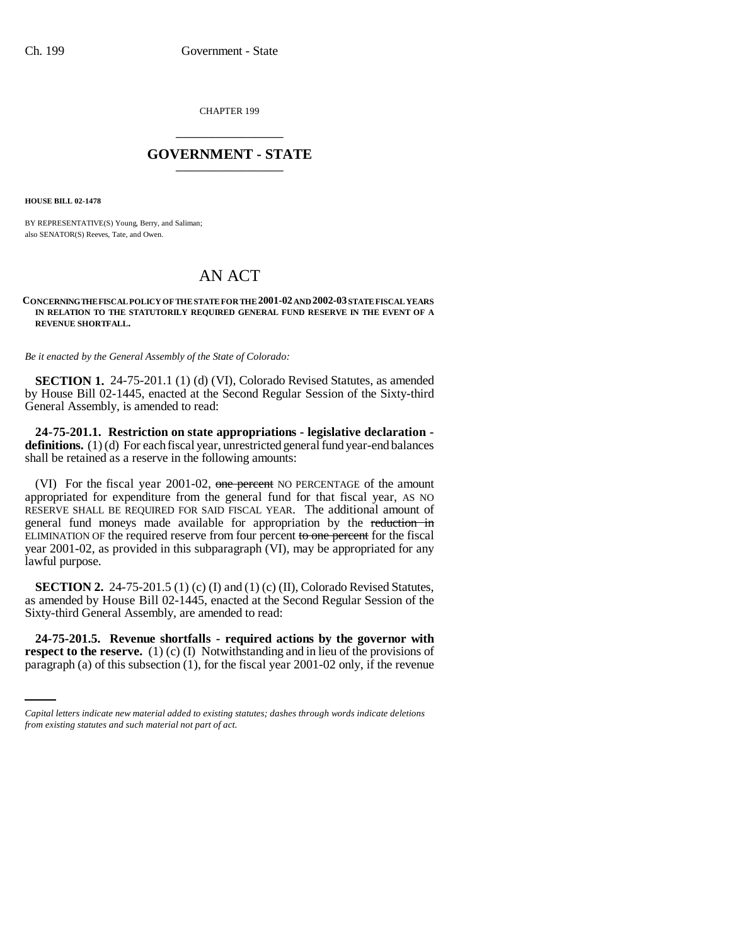CHAPTER 199 \_\_\_\_\_\_\_\_\_\_\_\_\_\_\_

## **GOVERNMENT - STATE** \_\_\_\_\_\_\_\_\_\_\_\_\_\_\_

**HOUSE BILL 02-1478**

BY REPRESENTATIVE(S) Young, Berry, and Saliman; also SENATOR(S) Reeves, Tate, and Owen.

## AN ACT

## **CONCERNING THE FISCAL POLICY OF THE STATE FOR THE 2001-02 AND 2002-03 STATE FISCAL YEARS IN RELATION TO THE STATUTORILY REQUIRED GENERAL FUND RESERVE IN THE EVENT OF A REVENUE SHORTFALL.**

*Be it enacted by the General Assembly of the State of Colorado:*

**SECTION 1.** 24-75-201.1 (1) (d) (VI), Colorado Revised Statutes, as amended by House Bill 02-1445, enacted at the Second Regular Session of the Sixty-third General Assembly, is amended to read:

**24-75-201.1. Restriction on state appropriations - legislative declaration**  definitions. (1) (d) For each fiscal year, unrestricted general fund year-end balances shall be retained as a reserve in the following amounts:

(VI) For the fiscal year 2001-02, one percent NO PERCENTAGE of the amount appropriated for expenditure from the general fund for that fiscal year, AS NO RESERVE SHALL BE REQUIRED FOR SAID FISCAL YEAR. The additional amount of general fund moneys made available for appropriation by the reduction in ELIMINATION OF the required reserve from four percent to one percent for the fiscal year 2001-02, as provided in this subparagraph (VI), may be appropriated for any lawful purpose.

**SECTION 2.** 24-75-201.5 (1) (c) (I) and (1) (c) (II), Colorado Revised Statutes, as amended by House Bill 02-1445, enacted at the Second Regular Session of the Sixty-third General Assembly, are amended to read:

 **24-75-201.5. Revenue shortfalls - required actions by the governor with respect to the reserve.** (1) (c) (I) Notwithstanding and in lieu of the provisions of paragraph (a) of this subsection (1), for the fiscal year 2001-02 only, if the revenue

*Capital letters indicate new material added to existing statutes; dashes through words indicate deletions from existing statutes and such material not part of act.*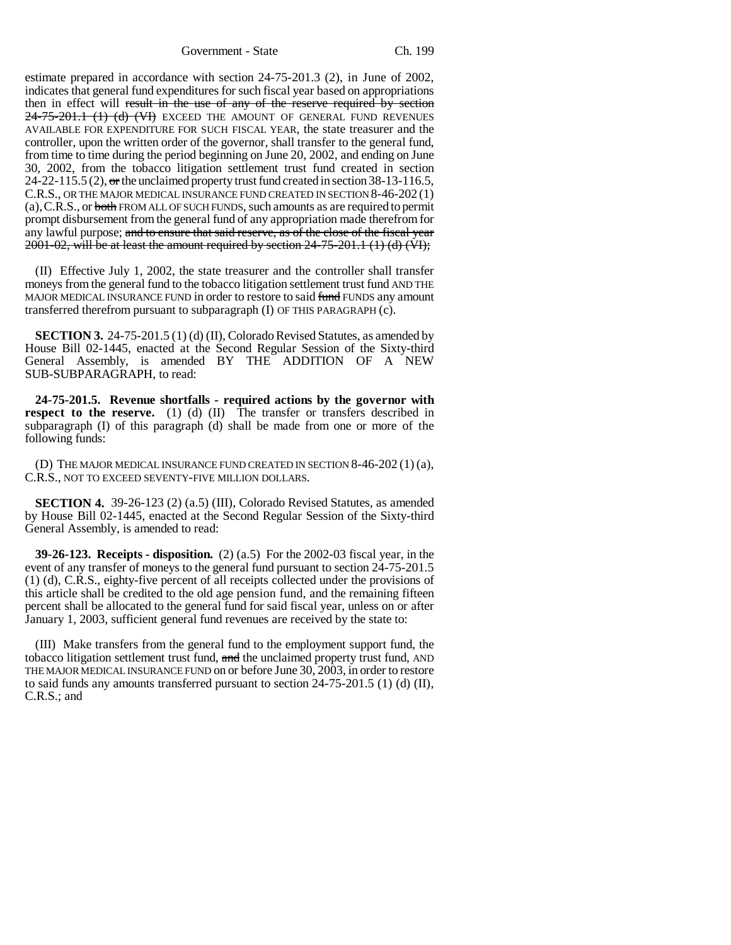Government - State Ch. 199

estimate prepared in accordance with section 24-75-201.3 (2), in June of 2002, indicates that general fund expenditures for such fiscal year based on appropriations then in effect will result in the use of any of the reserve required by section 24-75-201.1 (1) (d) (VI) EXCEED THE AMOUNT OF GENERAL FUND REVENUES AVAILABLE FOR EXPENDITURE FOR SUCH FISCAL YEAR, the state treasurer and the controller, upon the written order of the governor, shall transfer to the general fund, from time to time during the period beginning on June 20, 2002, and ending on June 30, 2002, from the tobacco litigation settlement trust fund created in section 24-22-115.5 (2),  $\sigma$  the unclaimed property trust fund created in section 38-13-116.5, C.R.S., OR THE MAJOR MEDICAL INSURANCE FUND CREATED IN SECTION 8-46-202 (1) (a),C.R.S., or both FROM ALL OF SUCH FUNDS, such amounts as are required to permit prompt disbursement from the general fund of any appropriation made therefrom for any lawful purpose; and to ensure that said reserve, as of the close of the fiscal year  $2001-02$ , will be at least the amount required by section  $24-75-201.1$  (1) (d) (VI);

(II) Effective July 1, 2002, the state treasurer and the controller shall transfer moneys from the general fund to the tobacco litigation settlement trust fund AND THE MAJOR MEDICAL INSURANCE FUND in order to restore to said fund FUNDS any amount transferred therefrom pursuant to subparagraph (I) OF THIS PARAGRAPH (c).

**SECTION 3.** 24-75-201.5 (1) (d) (II), Colorado Revised Statutes, as amended by House Bill 02-1445, enacted at the Second Regular Session of the Sixty-third General Assembly, is amended BY THE ADDITION OF A NEW SUB-SUBPARAGRAPH, to read:

**24-75-201.5. Revenue shortfalls - required actions by the governor with respect to the reserve.** (1) (d) (II) The transfer or transfers described in subparagraph (I) of this paragraph (d) shall be made from one or more of the following funds:

(D) THE MAJOR MEDICAL INSURANCE FUND CREATED IN SECTION 8-46-202 (1) (a), C.R.S., NOT TO EXCEED SEVENTY-FIVE MILLION DOLLARS.

**SECTION 4.** 39-26-123 (2) (a.5) (III), Colorado Revised Statutes, as amended by House Bill 02-1445, enacted at the Second Regular Session of the Sixty-third General Assembly, is amended to read:

**39-26-123. Receipts - disposition.** (2) (a.5) For the 2002-03 fiscal year, in the event of any transfer of moneys to the general fund pursuant to section 24-75-201.5 (1) (d), C.R.S., eighty-five percent of all receipts collected under the provisions of this article shall be credited to the old age pension fund, and the remaining fifteen percent shall be allocated to the general fund for said fiscal year, unless on or after January 1, 2003, sufficient general fund revenues are received by the state to:

(III) Make transfers from the general fund to the employment support fund, the tobacco litigation settlement trust fund, and the unclaimed property trust fund, AND THE MAJOR MEDICAL INSURANCE FUND on or before June 30, 2003, in order to restore to said funds any amounts transferred pursuant to section 24-75-201.5 (1) (d) (II), C.R.S.; and